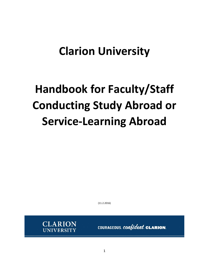# **Clarion University**

# **Handbook for Faculty/Staff Conducting Study Abroad or Service-Learning Abroad**

(11.2.2016)



COURAGEOUS. confident. CLARION.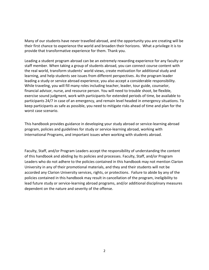Many of our students have never travelled abroad, and the opportunity you are creating will be their first chance to experience the world and broaden their horizons. What a privilege it is to provide that transformative experience for them. Thank you.

Leading a student program abroad can be an extremely rewarding experience for any faculty or staff member. When taking a group of students abroad, you can connect course content with the real world, transform students' world views, create motivation for additional study and learning, and help students see issues from different perspectives. As the program leader leading a study or service abroad experience, you also accept a considerable responsibility. While traveling, you will fill many roles including teacher, leader, tour guide, counselor, financial advisor, nurse, and resource person. You will need to trouble shoot, be flexible, exercise sound judgment, work with participants for extended periods of time, be available to participants 24/7 in case of an emergency, and remain level headed in emergency situations. To keep participants as safe as possible, you need to mitigate risks ahead of time and plan for the worst case scenario.

This handbook provides guidance in developing your study abroad or service-learning abroad program, policies and guidelines for study or service-learning abroad, working with International Programs, and important issues when working with students abroad.

Faculty, Staff, and/or Program Leaders accept the responsibility of understanding the content of this handbook and abiding by its policies and processes. Faculty, Staff, and/or Program Leaders who do not adhere to the policies contained in this handbook may not mention Clarion University in any of their promotional materials, and they and their students will not be accorded any Clarion University services, rights, or protections. Failure to abide by any of the policies contained in this handbook may result in cancellation of the program, ineligibility to lead future study or service-learning abroad programs, and/or additional disciplinary measures dependent on the nature and severity of the offense.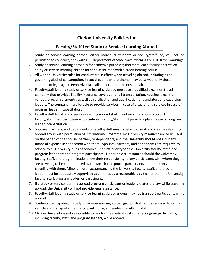# **Clarion University Policies for**

# **Faculty/Staff Led Study or Service-Learning Abroad**

- 1. Study or service-learning abroad, either individual students or faculty/staff led, will not be permitted to countries/sites with U.S. Department of State travel warnings or CDC travel warnings.
- 2. Study or service-learning abroad is for academic purposes; therefore, each faculty or staff led study or service-learning abroad must be associated with a credit bearing course.
- 3. All Clarion University rules for conduct are in effect when traveling abroad, including rules governing alcohol consumption. In social events where alcohol may be served, only those students of legal age in Pennsylvania shall be permitted to consume alcohol.
- 4. Faculty/staff leading study or service-learning abroad must use a qualified excursion travel company that provides liability insurance coverage for all transportation, housing, excursion venues, program elements, as well as certification and qualification of translators and excursion leaders. The company must be able to provide services in case of disaster and services in case of program leader incapacitation.
- 5. Faculty/staff led study or service-learning abroad shall maintain a maximum ratio of 1 faculty/staff member to every 15 students. Faculty/staff must provide a plan in case of program leader incapacitation.
- 6. Spouses, partners, and dependents of faculty/staff may travel with the study or service-learning abroad group with permission of International Programs. No University resources are to be used on the behalf of the spouse, partner, or dependents, and the University should not incur any financial expense in connection with them. Spouses, partners, and dependents are required to adhere to all University rules of conduct. The first priority for the University faculty, staff, and program leader are the program participants. Under no circumstances should the University faculty, staff, and program leader allow their responsibility to any participants with whom they are traveling to be compromised by the fact that a spouse, partner and/or dependents is traveling with them. Minor children accompanying the University faculty, staff, and program leader must be adequately supervised at all times by a reasonable adult other than the University faculty, staff, program leader, or participant.
- 7. If a study or service-learning abroad program participant or leader violates the law while traveling abroad, the University will not provide legal assistance.
- 8. Faculty/staff leading study or service-learning abroad groups may not transport participants while abroad.
- 9. Students participating in study or service-learning abroad groups shall not be required to rent a vehicle and transport other participants, program leaders, faculty, or staff.
- 10. Clarion University is not responsible to pay for the medical costs of any program participants, including faculty, staff, and program leaders, while abroad.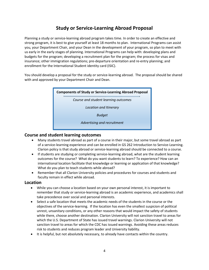# **Study or Service-Learning Abroad Proposal**

Planning a study or service-learning abroad program takes time. In order to create an effective and strong program, it is best to give yourself at least 18 months to plan. International Programs can assist you, your Department Chair, and your Dean in the development of your program, so plan to meet with us early in the early stages of planning. International Programs can help with: developing plans and budgets for the program; developing a recruitment plan for the program; the process for visas and insurance; other immigration regulations; pre-departure orientation and re-entry planning; and enrollment for the International Student identity card (ISIC).

You should develop a proposal for the study or service-learning abroad. The proposal should be shared with and approved by your Department Chair and Dean.

# **Components of Study or Service-Learning Abroad Proposal** *Course and student learning outcomes Location and Itinerary Budget Advertising and recruitment*

## **Course and student learning outcomes**

- Many students travel abroad as part of a course in their major, but some travel abroad as part of a service-learning experience and can be enrolled in GS 262 Introduction to Service-Learning. Clarion policy is that study abroad or service-learning abroad should be connected to a course.
- If students are studying or completing service-learning abroad, what are the student learning outcomes for the course? What do you want students to learn? To experience? How can an international location facilitate that knowledge or learning or application of that knowledge? What do you plan to teach students while abroad?
- Remember that all Clarion University policies and procedures for courses and students and faculty remain in effect while abroad.

### **Location**

- While you can choose a location based on your own personal interest, it is important to remember that study or service-learning abroad is an academic experience, and academics shall take precedence over social and personal interests.
- Select a safe location that meets the academic needs of the students in the course or the objectives of the service-learning. If the location has even the smallest suspicion of political unrest, unsanitary conditions, or any other reasons that would impact the safety of students while there, choose another destination. Clarion University will not sanction travel to areas for which the U.S. Department of State has issued travel warnings. Clarion University will not sanction travel to areas for which the CDC has issued warnings. Avoiding these areas reduces risk to students and reduces program leader and University liability.
- It is helpful, but not absolutely necessary, to already have contacts within the country.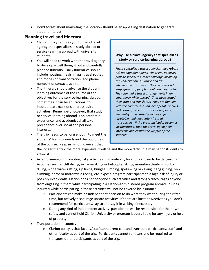Don't forget about marketing; the location should be an appealing destination to generate student interest.

## **Planning travel and itinerary**

- Clarion policy requires you to use a travel agency that specializes in study abroad or service-learning abroad with university students.
- You will need to work with the travel agency to develop a well thought out and carefully planned itinerary. Daily itineraries should include housing, meals, maps, travel routes and modes of transportation, and phone numbers of contacts at site.
- The itinerary should advance the student learning outcomes of the course or the objectives for the service-learning abroad. Sometimes it can be educational to incorporate excursions or cross-cultural activities. Remember, however, that study or service-learning abroad is an academic experience, and academics shall take precedence over social and personal interests.
- The trip needs to be long enough to meet the students' learning needs and the outcomes of the course. Keep in mind, however, that

#### **Why use a travel agency that specializes in study or service-learning abroad?**

*These specialized travel agencies have robust risk management plans. The travel agencies provide special insurance coverage including trip cancellation insurance and trip interruption insurance. They can re-ticket large groups of people should the need arise. They can make travel arrangements in an emergency while abroad. They have vetted their staff and translators. They are familiar with the country and can identify safe venues and housing. Their transportation plans for in-country travel usually involve safe, reputable, and adequately insured transporters. If the program leader becomes incapacitated, then the travel agency can intervene and ensure the welfare of the students.* 

the longer the trip, the more expensive it will be and the more difficult it may be for students to afford it.

- Avoid planning or promoting risky activities. Eliminate any locations known to be dangerous. Activities such as cliff diving, extreme skiing or helicopter skiing, mountain climbing, scuba diving, white water rafting, zip lining, bungee jumping, spelunking or caving, hang gliding, rock climbing, horse or motorcycle racing, etc. expose program participants to a high risk of injury or possibly even death. Clarion does not condone such activities and strongly discourages anyone from engaging in them while participating in a Clarion-administered program abroad. Injuries incurred while participating in these activities will not be covered by insurance.
	- $\circ$  Participants can make an independent decision to do what they want during their free time, but actively discourage unsafe activities. If there are locations/activities you don't recommend for participants, say so and say it in writing if necessary.
	- $\circ$  During any kind of independent activity, participants will be responsible for their own safety and cannot hold Clarion University or program leaders liable for any injury or loss of property.
- Transportation in-country
	- $\circ$  Clarion policy is that faculty/staff cannot rent cars and transport participants, staff, and other faculty as part of the trip. Participants cannot rent cars and be required to transport other participants as part of the trip.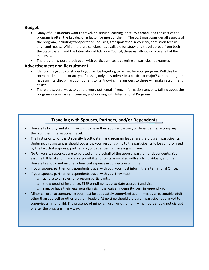## **Budget**

- Many of our students want to travel, do service-learning, or study abroad, and the cost of the program is often the key deciding factor for most of them. The cost must consider all aspects of the program, including transportation, housing, transportation in-country, admission fees (if any), and meals. While there are scholarships available for study and travel abroad from both the State System and the International Advisory Council, these usually do not cover all of the expenses.
- The program should break even with participant costs covering all participant expenses.

### **Advertisement and Recruitment**

- Identify the groups of students you will be targeting to recruit for your program. Will this be open to all students or are you focusing only on students in a particular major? Can the program have an interdisciplinary component to it? Knowing the answers to these will make recruitment easier.
- There are several ways to get the word out: email, flyers, information sessions, talking about the program in your current courses, and working with International Programs.

# **Traveling with Spouses, Partners, and/or Dependents**

- University faculty and staff may wish to have their spouse, partner, or dependent(s) accompany them on their international travel.
- The first priority for the University faculty, staff, and program leader are the program participants. Under no circumstances should you allow your responsibility to the participants to be compromised by the fact that a spouse, partner and/or dependent is traveling with you.
- No University resources are to be used on the behalf of the spouse, partner, or dependents. You assume full legal and financial responsibility for costs associated with such individuals, and the University should not incur any financial expense in connection with them.
- If your spouse, partner, or dependents travel with you, you must inform the International Office.
- If your spouse, partner, or dependents travel with you, they must:
	- o adhere to all rules for program participants.
	- o show proof of insurance, STEP enrollment, up-to-date passport and visa.
	- $\circ$  sign, or have their legal guardian sign, the waiver indemnity form in Appendix A.
- Minor children accompanying you must be adequately supervised at all times by a reasonable adult other than yourself or other program leader. At no time should a program participant be asked to supervise a minor child. The presence of minor children or other family members should not disrupt or alter the program in any way.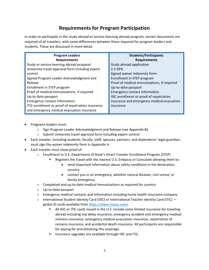# **Requirements for Program Participation**

In order to participate in the study abroad or service-learning abroad program, certain documents are required of all travelers, with some differences between those required for program leaders and students. These are discussed in more detail.

| <b>Program Leaders</b>                             | <b>Students/Participants</b>                |
|----------------------------------------------------|---------------------------------------------|
| <b>Requirements</b>                                | <b>Requirements</b>                         |
| Study or service-learning abroad proposal          | Study abroad application                    |
| University travel approval form including export   | 2.5 GPA                                     |
| control                                            | Signed waiver indemnity form                |
| Signed Program Leader Acknowledgment and           | Enrollment in STEP program                  |
| Release                                            | Proof of medical immunizations, if required |
| Enrollment in STEP program                         | Up-to-date passport                         |
| Proof of medical immunizations, if required        | <b>Emergency contact information</b>        |
| Up-to-date passport                                | ISIC enrollment or proof of repatriation    |
| <b>Emergency contact information</b>               | insurance and emergency medical evacuation  |
| ITIC enrollment or proof of repatriation insurance | insurance                                   |
| and emergency medical evacuation insurance         |                                             |

- Programs leaders must:
	- o Sign Program Leader Acknowledgment and Release (see Appendix B).
	- o Submit University travel approval form including export control
- Each traveler, including students, faculty, staff, spouses, partners, and dependents' legal guardian, must sign the waiver indemnity form in Appendix A
- Each traveler must show proof of:
	- o Enrollment in U.S. Department of State's Smart Traveler Enrollment Program (STEP)
		- Registers the travel with the nearest U.S. Embassy or Consulate allowing them to:
			- send important information about safety conditions in the destination country.
			- contact you in an emergency, whether natural disaster, civil unrest, or family emergency.
	- o Completed and up-to-date medical immunizations as required for country
	- o Up-to-date passport
	- $\circ$  Emergency medical contacts and information including home health insurance company
	- $\circ$  International Student Identity Card (ISIC) or International Teacher Identity Card (ITIC)  $$ global ID cards available from [https://www.myisic.com/.](https://www.myisic.com/)
		- **All ISIC or ITIC cards issued in the U.S. include some limited insurance for traveling** abroad including trip delay insurance, emergency accident and emergency medical sickness insurance, emergency medical evacuation insurance, repatriation of remains insurance, and accidental death insurance. All participants are responsible for paying for and obtaining this coverage.
		- Insurance upgrades are available through ISIC and ITIC.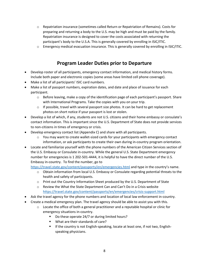- o Repatriation insurance (sometimes called Return or Repatriation of Remains). Costs for preparing and returning a body to the U.S. may be high and must be paid by the family. Repatriation insurance is designed to cover the costs associated with returning the participant's body to the U.S.A. This is generally covered by enrolling in ISIC/ITIC.
- o Emergency medical evacuation insurance. This is generally covered by enrolling in ISIC/ITIC.

# **Program Leader Duties prior to Departure**

- Develop roster of all participants, emergency contact information, and medical history forms. Include both paper and electronic copies (some areas have limited cell phone coverage).
- Make a list of all participants' ISIC card numbers.
- Make a list of passport numbers, expiration dates, and date and place of issuance for each participant.
	- $\circ$  Before leaving, make a copy of the identification page of each participant's passport. Share with International Programs. Take the copies with you on your trip.
	- $\circ$  If possible, travel with several passport size photos. It can be hard to get replacement photos on short notice if your passport is lost or stolen.
- Develop a list of which, if any, students are not U.S. citizens and their home embassy or consulate's contact information. This is important since the U.S. Department of State does not provide services to non-citizens in times of emergency or crisis.
- Develop emergency contact list (Appendix C) and share with all participants.
	- $\circ$  You may want to create wallet-sized cards for your participants with emergency contact information, or ask participants to create their own during in-country program orientation.
- Locate and familiarize yourself with the phone numbers of the American Citizen Services section of the U.S. Embassy or Consulate in-country. While the general U.S. State Department emergency number for emergencies is 1 202-501-4444, it is helpful to have the direct number of the U.S. Embassy in-country. To find the number, go to

<https://travel.state.gov/content/passports/en/emergencies.html> and type in the country's name.

- o Obtain information from local U.S. Embassy or Consulate regarding potential threats to the health and safety of participants.
- o Print out the Country Information Sheet produced by the U.S. Department of State
- $\circ$  Review the What the State Department Can and Can't Do in a Crisis website <https://travel.state.gov/content/passports/en/emergencies/crisis-support.html>
- Ask the travel agency for the phone numbers and location of local law enforcement in-country.
- Create a medical emergency plan. The travel agency should be able to assist you with this.
	- $\circ$  Locate the office of both a general practitioner and a reputable hospital or clinic for emergency situations in-country.
		- Do these operate 24/7 or during limited hours?
		- What are their standards of care?
		- **If the country is not English-speaking, locate at least one, if not two, English**speaking physicians.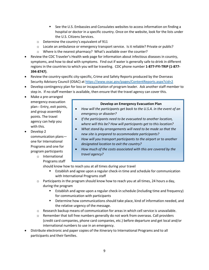- See the U.S. Embassies and Consulates websites to access information on finding a hospital or doctor in a specific country. Once on the website, look for the lists under the U.S. Citizens Services.
- o Determine the country's equivalent of 911
- o Locate an ambulance or emergency transport service. Is it reliable? Private or public?
- o Where is the nearest pharmacy? What's available over the counter?
- Review the CDC Traveler's Health web page for information about infectious diseases in country, symptoms, and how to deal with symptoms. Find out if water is generally safe to drink in different regions in the countries to which you will be traveling. CDC phone number **1-877-FYI-TRIP (1-877- 394-8747)**.
- Review the country-specific city-specific, Crime and Safety Reports produced by the Overseas Security Advisory Council (OSAC) at<https://www.osac.gov/pages/ContentReports.aspx?cid=2>
- Develop contingency plan for loss or incapacitation of program leader. Ask another staff member to step in. If no staff member is available, then ensure that the travel agency can cover this.
- Make a pre-arranged emergency evacuation plan-- Entry, exit points, and group assembly points. The travel agency can help you with this.
- Develop 2 communication plans one for International Programs and one for program participants o International

Programs staff

#### **Develop an Emergency Evacuation Plan**

- *How will the participants get back to the U.S.A. in the event of an emergency or disaster?*
- *If the participants need to be evacuated to another location, where will this be? How will participants get to this location?*
- *What stand-by arrangements will need to be made so that the new site is prepared to accommodate participants?*
- *How will you transport participants to the airport or to another designated location to exit the country?*
- *How much of the costs associated with this are covered by the travel agency?*

should know how to reach you at all times during your travel

- Establish and agree upon a regular check-in time and schedule for communication with International Programs staff
- $\circ$  Participants in the program should know how to reach you at all times, 24 hours a day, during the program
	- Establish and agree upon a regular check-in schedule (including time and frequency) for communication with participants
	- Determine how communications should take place, kind of information needed, and the relative urgency of the message.
- $\circ$  Research backup means of communication for areas in which cell service is unavailable.
- $\circ$  Remember that toll free numbers generally do not work from overseas. Call providers (credit card companies, phone card companies, etc.) before departure and get local and/or international numbers to use in an emergency.
- Distribute electronic and paper copies of the itinerary to International Programs and to all participants and their families.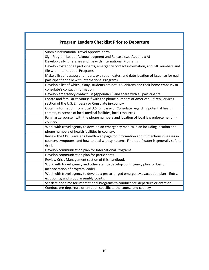| <b>Program Leaders Checklist Prior to Departure</b>                                                                                                                                         |
|---------------------------------------------------------------------------------------------------------------------------------------------------------------------------------------------|
| Submit International Travel Approval form                                                                                                                                                   |
| Sign Program Leader Acknowledgment and Release (see Appendix A)                                                                                                                             |
| Develop daily itineraries and file with International Programs                                                                                                                              |
| Develop roster of all participants, emergency contact information, and ISIC numbers and<br>file with International Programs                                                                 |
| Make a list of passport numbers, expiration dates, and date location of issuance for each<br>participant and file with International Programs                                               |
| Develop a list of which, if any, students are not U.S. citizens and their home embassy or<br>consulate's contact information.                                                               |
| Develop emergency contact list (Appendix C) and share with all participants                                                                                                                 |
| Locate and familiarize yourself with the phone numbers of American Citizen Services<br>section of the U.S. Embassy or Consulate in-country                                                  |
| Obtain information from local U.S. Embassy or Consulate regarding potential health<br>threats, existence of local medical facilities, local resources                                       |
| Familiarize yourself with the phone numbers and location of local law enforcement in-<br>country                                                                                            |
| Work with travel agency to develop an emergency medical plan including location and<br>phone numbers of health facilities in-country.                                                       |
| Review the CDC Traveler's Health web page for information about infectious diseases in<br>country, symptoms, and how to deal with symptoms. Find out if water is generally safe to<br>drink |
| Develop communication plan for International Programs                                                                                                                                       |
| Develop communication plan for participants                                                                                                                                                 |
| Review Crisis Management section of this handbook                                                                                                                                           |
| Work with travel agency and other staff to develop contingency plan for loss or                                                                                                             |
| incapacitation of program leader.                                                                                                                                                           |
| Work with travel agency to develop a pre-arranged emergency evacuation plan-- Entry,                                                                                                        |
| exit points, and group assembly points.                                                                                                                                                     |
| Set date and time for International Programs to conduct pre-departure orientation                                                                                                           |
| Conduct pre-departure orientation specific to the course and country                                                                                                                        |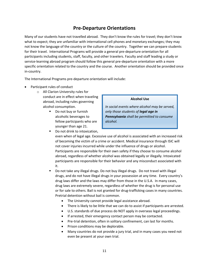# **Pre-Departure Orientations**

Many of our students have not travelled abroad. They don't know the rules for travel; they don't know what to expect; they are unfamiliar with international cell phones and monetary exchanges; they may not know the language of the country or the culture of the country. Together we can prepare students for their travel. International Programs will provide a general pre-departure orientation for all participants including students, staff, faculty, and other travelers. Faculty and staff leading a study or service-learning abroad program should follow this general pre-departure orientation with a more specific orientation related to the country and the course. Another orientation should be provided once in-country.

The International Programs pre-departure orientation will include:

- Participant rules of conduct
	- o All Clarion University rules for conduct are in effect when traveling abroad, including rules governing alcohol consumption.
		- Do not buy or furnish alcoholic beverages to fellow participants who are younger than age 21.

#### **Alcohol Use**

*In social events where alcohol may be served, only those students of legal age in Pennsylvania shall be permitted to consume alcohol.*

- Do not drink to intoxication, even when of legal age. Excessive use of alcohol is associated with an increased risk of becoming the victim of a crime or accident. Medical insurance through ISIC will not cover injuries incurred while under the influence of drugs or alcohol. Participants are responsible for their own safety if they choose to consume alcohol abroad, regardless of whether alcohol was obtained legally or illegally. Intoxicated participants are responsible for their behavior and any misconduct associated with it.
	- Do not take any illegal drugs. Do not buy illegal drugs. Do not travel with illegal drugs, and do not have illegal drugs in your possession at any time. Every country's drug laws differ and the laws may differ from those in the U.S.A. In many cases, drug laws are extremely severe, regardless of whether the drug is for personal use or for sale to others. Bail is not granted for drug-trafficking cases in many countries. Pretrial detention without bail is common.
		- The University cannot provide legal assistance abroad.
		- There is likely to be little that we can do to assist if participants are arrested.
		- U.S. standards of due process do NOT apply in overseas legal proceedings.
		- If arrested, their emergency contact person may be contacted.
		- Pre-trial detention, often in solitary confinement, can last for months.
		- Prison conditions may be deplorable.
		- Many countries do not provide a jury trial, and in many cases you need not even be present at your own trial.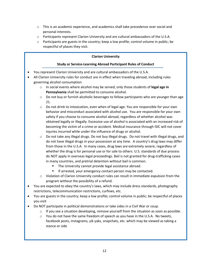- $\circ$  This is an academic experience, and academics shall take precedence over social and personal interests.
- o Participants represent Clarion University and are cultural ambassadors of the U.S.A.
- $\circ$  Participants are guests in the country; keep a low profile; control volume in public; be respectful of places they visit.

#### **Clarion University**

#### **Study or Service-Learning Abroad Participant Rules of Conduct**

- You represent Clarion University and are cultural ambassadors of the U.S.A.
- All Clarion University rules for conduct are in effect when traveling abroad, including rules governing alcohol consumption.
	- o In social events where alcohol may be served, only those students of **legal age in Pennsylvania** shall be permitted to consume alcohol.
	- $\circ$  Do not buy or furnish alcoholic beverages to fellow participants who are younger than age 21.
	- o Do not drink to intoxication, even when of legal age. You are responsible for your own behavior and misconduct associated with alcohol use. You are responsible for your own safety if you choose to consume alcohol abroad, regardless of whether alcohol was obtained legally or illegally. Excessive use of alcohol is associated with an increased risk of becoming the victim of a crime or accident. Medical insurance through ISIC will not cover injuries incurred while under the influence of drugs or alcohol.
	- $\circ$  Do not take any illegal drugs. Do not buy illegal drugs. Do not travel with illegal drugs, and do not have illegal drugs in your possession at any time. A country's drug laws may differ from those in the U.S.A. In many cases, drug laws are extremely severe, regardless of whether the drug is for personal use or for sale to others. U.S. standards of due process do NOT apply in overseas legal proceedings. Bail is not granted for drug-trafficking cases in many countries, and pretrial detention without bail is common.
		- **The University cannot provide legal assistance abroad.**
		- If arrested, your emergency contact person may be contacted.
	- o Violation of Clarion University conduct rules can result in immediate expulsion from the program without the possibility of a refund.
- You are expected to obey the country's laws, which may include dress standards, photography restrictions, telecommunication restrictions, curfews, etc.
- You are guests in the country; keep a low profile; control volume in public; be respectful of places you visit
- Do NOT participate in political demonstrations or take sides in a Civil War or coup.
	- $\circ$  If you see a situation developing, remove yourself from the situation as soon as possible.
	- $\circ$  You do not have the same freedom of speech as you have in the U.S.A. No tweets, facebook posts, instagrams, yik yaks, snapchats, etc. which may be viewed as taking a stance or side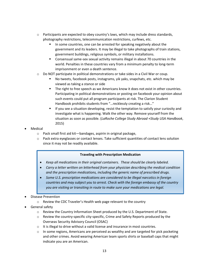- $\circ$  Participants are expected to obey country's laws, which may include dress standards, photography restrictions, telecommunication restrictions, curfews, etc.
	- In some countries, one can be arrested for speaking negatively about the government and its leaders. It may be illegal to take photographs of train stations, government buildings, religious symbols, or military installations.
	- Consensual same-sex sexual activity remains illegal in about 70 countries in the world. Penalties in these countries vary from a minimum penalty to long-term imprisonment or even a death sentence.
- $\circ$  Do NOT participate in political demonstrations or take sides in a Civil War or coup.
	- No tweets, facebook posts, instagrams, yik yaks, snapchats, etc. which may be viewed as taking a stance or side
	- The right to free speech as we Americans know it does not exist in other countries. Participating in political demonstrations or posting on facebook your opinion about such events could put all program participants at risk. The Clarion Student Handbook prohibits students from "…recklessly creating a risk…"
	- **If you see a situation developing, resist the temptation to satisfy your curiosity and** investigate what is happening. Walk the other way. Remove yourself from the situation as soon as possible. (*LaRoche College Study Abroad +Study USA Handbook*, 2015)
- Medical
	- o Pack small first aid kit—bandages, aspirin in original package,
	- $\circ$  Pack extra eyeglasses or contact lenses. Take sufficient quantities of contact lens solution since it may not be readily available.

#### **Traveling with Prescription Medication**

- *Keep all medications in their original containers. These should be clearly labeled.*
- *Carry a letter written on letterhead from your physician describing the medical condition and the prescription medications, including the generic name of prescribed drugs.*
- *Some U.S. prescription medications are considered to be illegal narcotics in foreign countries and may subject you to arrest. Check with the foreign embassy of the country you are visiting or transiting in route to make sure your medications are legal.*
- Disease Prevention
	- o Review the CDC Traveler's Health web page relevant to the country
- General safety
	- o Review the Country Information Sheet produced by the U.S. Department of State.
	- $\circ$  Review the country-specific city-specific, Crime and Safety Reports produced by the Overseas Security Advisory Council (OSAC)
	- o It is illegal to drive without a valid license and insurance in most countries.
	- $\circ$  In some regions, Americans are perceived as wealthy and are targeted for pick pocketing and other crimes. Avoid wearing American team sports shirts or baseball caps that might indicate you are an American.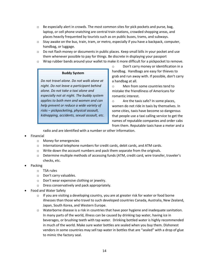- $\circ$  Be especially alert in crowds. The most common sites for pick pockets and purse, bag, laptop, or cell phone snatching are central train stations, crowded shopping areas, and places heavily frequented by tourists such as on public buses, trams, and subways.
- $\circ$  Stay awake on the bus, train, tram, or metro, especially if you have a backpack, computer, handbag, or luggage.
- $\circ$  Do not flash money or documents in public places. Keep small bills in your pocket and use them whenever possible to pay for things. Be discrete in displaying your passport
- o Wrap rubber bands around your wallet to make it more difficult for a pickpocket to remove.

#### **Buddy System**

*Do not travel alone. Do not walk alone at night. Do not leave a participant behind alone. Do not take a taxi alone and especially not at night. The buddy system applies to both men and women and can help prevent or reduce a wide variety of risks – pickpocketing, physical assault, kidnapping, accidents, sexual assault, etc*.

o Don't carry money or identification in a handbag. Handbags are easy for thieves to grab and run away with. If possible, don't carry a handbag at all.

o Men from some countries tend to mistake the friendliness of Americans for romantic interest.

o Are the taxis safe? In some places, women do not ride in taxis by themselves. In some cities, taxis have become so dangerous that people use a taxi calling service to get the names of reputable companies and order cabs from them. Reputable taxis have a meter and a

radio and are identified with a number or other information.

- Financial
	- o Money for emergencies
	- $\circ$  International telephone numbers for credit cards, debit cards, and ATM cards.
	- $\circ$  Write down the account numbers and pack them separate from the originals.
	- o Determine multiple methods of accessing funds (ATM, credit card, wire transfer, traveler's checks, etc.
- Packing
	- o TSA rules
	- o Don't carry valuables.
	- o Don't wear expensive clothing or jewelry.
	- o Dress conservatively and pack appropriately.
- Food and Water Safety
	- $\circ$  If you are visiting a developing country, you are at greater risk for water or food borne illnesses than those who travel to such developed countries Canada, Australia, New Zealand, Japan, South Korea, and Western Europe.
	- $\circ$  Waterborne disease is a risk in countries that have poor hygiene and inadequate sanitation. In many parts of the world, illness can be caused by drinking tap water, having ice in beverages, or brushing teeth with tap water. Drinking bottled water is highly recommended in much of the world. Make sure water bottles are sealed when you buy them. Dishonest vendors in some countries may sell tap water in bottles that are "sealed" with a drop of glue to mimic the factory seal.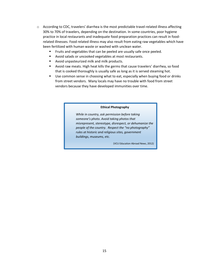- o According to CDC, travelers' diarrhea is the most predictable travel-related illness affecting 30% to 70% of travelers, depending on the destination. In some countries, poor hygiene practice in local restaurants and inadequate food preparation practices can result in foodrelated illnesses. Food related illness may also result from eating raw vegetables which have been fertilized with human waste or washed with unclean water.
	- Fruits and vegetables that can be peeled are usually safe once peeled.
	- Avoid salads or uncooked vegetables at most restaurants.
	- **Avoid unpasteurized milk and milk products.**
	- Avoid raw meats. High heat kills the germs that cause travelers' diarrhea, so food that is cooked thoroughly is usually safe as long as it is served steaming hot.
	- Use common sense in choosing what to eat, especially when buying food or drinks from street vendors. Many locals may have no trouble with food from street vendors because they have developed immunities over time.

#### **Ethical Photography**

*While in country, ask permission before taking someone's photo. Avoid taking photos that misrepresent, stereotype, disrespect, or dehumanize the people of the country. Respect the "no photography" rules at historic and religious sites, government buildings, museums, etc.*

(VCU Education Abroad News, 2012)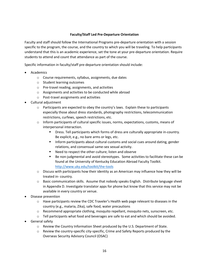#### **Faculty/Staff Led Pre-Departure Orientation**

Faculty and staff should follow the International Programs pre-departure orientation with a session specific to the program, the course, and the country to which you will be traveling. To help participants understand that this is an academic experience, set the tone at your pre-departure orientation. Require students to attend and count that attendance as part of the course.

Specific information in faculty/staff pre-departure orientation should include:

- Academics
	- o Course requirements, syllabus, assignments, due dates
	- o Student learning outcomes
	- o Pre-travel reading, assignments, and activities
	- o Assignments and activities to be conducted while abroad
	- o Post-travel assignments and activities
- Cultural adjustment
	- $\circ$  Participants are expected to obey the country's laws. Explain these to participants especially those about dress standards, photography restrictions, telecommunication restrictions, curfews, speech restrictions, etc.
	- $\circ$  Inform participants of cultural specific issues, norms, expectations, customs, means of interpersonal interaction.
		- Dress. Tell participants which forms of dress are culturally appropriate in-country. Be explicit, e.g., no bare arms or legs, etc.
		- Inform participants about cultural customs and social cues around dating, gender relations, and consensual same-sex sexual activity.
		- Need to respect the other culture; listen and observe
		- Be non-judgmental and avoid stereotypes. Some activities to facilitate these can be found at the University of Kentucky Education Abroad Faculty Toolkit. <http://www.uky.edu/toolkit/the-tools>
	- $\circ$  Discuss with participants how their identity as an American may influence how they will be treated in- country.
	- $\circ$  Basic communication skills. Assume that nobody speaks English. Distribute language sheet in Appendix D. Investigate translator apps for phone but know that this service may not be available in every country or venue.
- Disease prevention
	- $\circ$  Have participants review the CDC Traveler's Health web page relevant to diseases in the country (e.g., malaria, Zika), safe food, water precautions
	- $\circ$  Recommend appropriate clothing, mosquito repellant, mosquito nets, sunscreen, etc.
	- $\circ$  Tell participants what food and beverages are safe to eat and which should be avoided.
- General safety
	- o Review the Country Information Sheet produced by the U.S. Department of State.
	- $\circ$  Review the country-specific city-specific, Crime and Safety Reports produced by the Overseas Security Advisory Council (OSAC)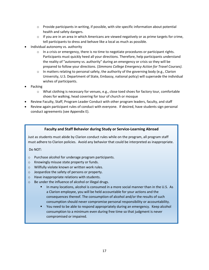- $\circ$  Provide participants in writing, if possible, with site specific information about potential health and safety dangers.
- $\circ$  If you are in an area in which Americans are viewed negatively or as prime targets for crime, tell participants to dress and behave like a local as much as possible.
- Individual autonomy vs. authority
	- $\circ$  In a crisis or emergency, there is no time to negotiate procedures or participant rights. Participants must quickly heed all your directions. Therefore, help participants understand the reality of "autonomy vs. authority" during an emergency or crisis so they will be prepared to follow your directions. (*Simmons College Emergency Action for Travel Courses).*
	- $\circ$  In matters relating to personal safety, the authority of the governing body (e.g., Clarion University, U.S. Department of State, Embassy, national policy) will supersede the individual wishes of participants.
- Packing
	- o What clothing is necessary for venues, e.g., close toed shoes for factory tour, comfortable shoes for walking, head covering for tour of church or mosque
- Review Faculty, Staff, Program Leader Conduct with other program leaders, faculty, and staff
- Review again participant rules of conduct with everyone. If desired, have students sign personal conduct agreements (see Appendix E).

#### **Faculty and Staff Behavior during Study or Service-Learning Abroad**

Just as students must abide by Clarion conduct rules while on the program, all program staff must adhere to Clarion policies. Avoid any behavior that could be interpreted as inappropriate.

Do NOT:

.

- o Purchase alcohol for underage program participants.
- o Knowingly misuse state property or funds.
- o Willfully violate known or written work rules.
- o Jeopardize the safety of persons or property.
- o Have inappropriate relations with students.
- o Be under the influence of alcohol or illegal drugs.
	- In many locations, alcohol is consumed in a more social manner than in the U.S. As a Clarion employee, you will be held accountable for your actions and the consequences thereof. The consumption of alcohol and/or the results of such consumption should never compromise personal responsibility or accountability.
	- You need to be able to respond appropriately during an emergency. Keep alcohol consumption to a minimum even during free time so that judgment is never compromised or impaired.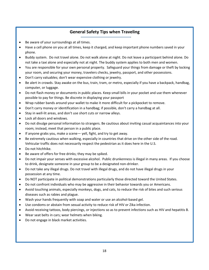# **General Safety Tips when Traveling**

- Be aware of your surroundings at all times.
- Have a cell phone on you at all times, keep it charged, and keep important phone numbers saved in your phone.
- Buddy system. Do not travel alone. Do not walk alone at night. Do not leave a participant behind alone. Do not take a taxi alone and especially not at night. The buddy system applies to both men and women.
- You are responsible for your own personal property. Safeguard your things from damage or theft by locking your room, and securing your money, travelers checks, jewelry, passport, and other possessions.
- Don't carry valuables; don't wear expensive clothing or jewelry.
- Be alert in crowds. Stay awake on the bus, train, tram, or metro, especially if you have a backpack, handbag, computer, or luggage.
- Do not flash money or documents in public places. Keep small bills in your pocket and use them whenever possible to pay for things. Be discrete in displaying your passport
- Wrap rubber bands around your wallet to make it more difficult for a pickpocket to remove.
- Don't carry money or identification in a handbag; if possible, don't carry a handbag at all.
- Stay in well-lit areas, and don't use short cuts or narrow alleys.
- Lock all doors and windows.
- Do not divulge personal information to strangers. Be cautious about inviting casual acquaintances into your room; instead, meet that person in a public place.
- If anyone grabs you, make a scene— yell, fight, and try to get away.
- Be extremely cautious when walking, especially in countries that drive on the other side of the road. Vehicular traffic does not necessarily respect the pedestrian as it does here in the U.S.
- Do not hitchhike*.*
- Be aware of offers for free drinks; they may be spiked.
- Do not impair your senses with excessive alcohol. Public drunkenness is illegal in many areas. If you choose to drink, designate someone in your group to be a designated non-drinker.
- Do not take any illegal drugs. Do not travel with illegal drugs, and do not have illegal drugs in your possession at any time.
- Do NOT participate in political demonstrations particularly those directed toward the United States.
- Do not confront individuals who may be aggressive in their behavior towards you or Americans.
- Avoid touching animals, especially monkeys, dogs, and cats, to reduce the risk of bites and such serious diseases such as rabies and plague.
- Wash your hands frequently with soap and water or use an alcohol-based gel.
- Use condoms or abstain from sexual activity to reduce risk of HIV or Zika infection.
- Avoid receiving tattoos, body piercings, or injections so as to prevent infections such as HIV and hepatitis B.
- Wear seat belts in cars; wear helmets when biking.
- Do not engage in black market activities.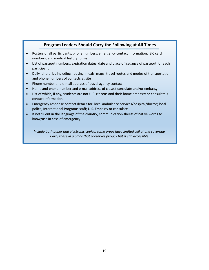## **Program Leaders Should Carry the Following at All Times**

- Rosters of all participants, phone numbers, emergency contact information, ISIC card numbers, and medical history forms
- List of passport numbers, expiration dates, date and place of issuance of passport for each participant
- Daily itineraries including housing, meals, maps, travel routes and modes of transportation, and phone numbers of contacts at site
- Phone number and e-mail address of travel agency contact
- Name and phone number and e-mail address of closest consulate and/or embassy
- List of which, if any, students are not U.S. citizens and their home embassy or consulate's contact information.
- Emergency response contact details for: local ambulance services/hospital/doctor; local police; International Programs staff; U.S. Embassy or consulate
- If not fluent in the language of the country, communication sheets of native words to know/use in case of emergency

*Include both paper and electronic copies; some areas have limited cell phone coverage. Carry these in a place that preserves privacy but is still accessible.*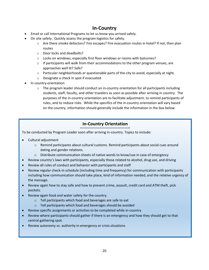# **In-Country**

- Email or call International Programs to let us know you arrived safely.
- On site safety. Quickly assess the program logistics for safety.
	- $\circ$  Are there smoke detectors? Fire escapes? Fire evacuation routes in hotel? If not, then plan routes
	- o Door locks and deadbolts?
	- $\circ$  Locks on windows, especially first floor windows or rooms with balconies?
	- $\circ$  If participants will walk from their accommodations to the other program venues, are approaches well lit? Safe?
	- $\circ$  Particular neighborhoods or questionable parts of the city to avoid, especially at night.
	- o Designate a check in spot if evacuated
- In country-orientation
	- $\circ$  The program leader should conduct an in-country orientation for all participants including students, staff, faculty, and other travelers as soon as possible after arriving in country. The purposes of the in-country orientation are to facilitate adjustment, to remind participants of rules, and to reduce risks. While the specifics of the in-country orientation will vary based on the country, information should generally include the information in the box below.

# **In-Country Orientation**

To be conducted by Program Leader soon after arriving in-country. Topics to include:

- Cultural adjustment
	- o Remind participants about cultural customs. Remind participants about social cues around dating and gender relations.
	- o Distribute communication sheets of native words to know/use in case of emergency
- Review country's laws with participants, especially those related to alcohol, drug use, and driving
- Review all rules of conduct and behavior with participants and staff
- Review regular check-in schedule (including time and frequency) for communication with participants including how communication should take place, kind of information needed, and the relative urgency of the message.
- Review again how to stay safe and how to prevent crime, assault, credit card and ATM theft, pick pockets.
- Review again food and water safety for the country.
	- o Tell participants which food and beverages are safe to eat
	- o Tell participants which food and beverages should be avoided
- Review specific assignments or activities to be completed while in-country
- Review where participants should gather if there is an emergency and how they should get to that central gathering spot.
- Review autonomy vs. authority in emergency or crisis situations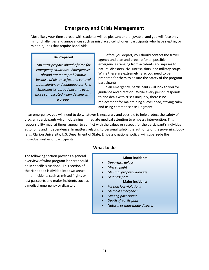# **Emergency and Crisis Management**

Most likely your time abroad with students will be pleasant and enjoyable, and you will face only minor challenges and annoyances such as misplaced cell phones, participants who have slept in, or minor injuries that require Band-Aids.

#### **Be Prepared**

*You must prepare ahead of time for emergency situations. Emergencies abroad are more problematic because of distance factors, cultural unfamiliarity, and language barriers. Emergencies abroad become even more complicated when dealing with a group.*

Before you depart, you should contact the travel agency and plan and prepare for all possible emergencies ranging from accidents and injuries to natural disasters, civil unrest, riots, and military coups. While these are extremely rare, you need to be prepared for them to ensure the safety of the program participants.

In an emergency, participants will look to you for guidance and direction. While every person responds to and deals with crises uniquely, there is no replacement for maintaining a level head, staying calm, and using common sense judgment.

In an emergency, you will need to do whatever is necessary and possible to help protect the safety of program participants—from obtaining immediate medical attention to embassy intervention. This responsibility may, at times, appear to conflict with the values or respect for the participant's individual autonomy and independence. In matters relating to personal safety, the authority of the governing body (e.g., Clarion University, U.S. Department of State, Embassy, national policy) will supersede the individual wishes of participants.

The following section provides a general overview of what program leaders should do in specific situations. This section of the Handbook is divided into two areas: minor incidents such as missed flights or lost passports and major incidents such as a medical emergency or disaster.

# **What to do**

#### **Minor incidents**

- *Departure delays*
- *Missed flight*
- *Minimal property damage*
- *Lost passport*

#### **Major incidents**

- *Foreign law violations*
- *Medical emergency*
- *Missing participant*
- *Death of participant*
- *Natural or man-made disaster*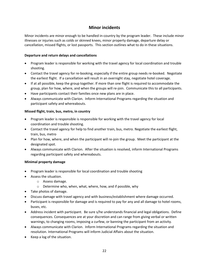# **Minor incidents**

Minor incidents are minor enough to be handled in-country by the program leader. These include minor illnesses or injuries such as colds or skinned knees, minor property damage, departure delay or cancellation, missed flights, or lost passports. This section outlines what to do in these situations.

#### **Departure and return delays and cancellations**

- Program leader is responsible for working with the travel agency for local coordination and trouble shooting.
- Contact the travel agency for re-booking, especially if the entire group needs re-booked. Negotiate the earliest flight. If a cancellation will result in an overnight stay, negotiate hotel coverage.
- If at all possible, keep the group together. If more than one flight is required to accommodate the group, plan for how, where, and when the groups will re-join. Communicate this to all participants.
- Have participants contact their families once new plans are in place.
- Always communicate with Clarion. Inform International Programs regarding the situation and participant safety and whereabouts.

#### **Missed flight, train, bus, metro, in country**

- Program leader is responsible is responsible for working with the travel agency for local coordination and trouble shooting.
- Contact the travel agency for help to find another train, bus, metro. Negotiate the earliest flight, train, bus, metro
- Plan for how, where, and when the participant will re-join the group. Meet the participant at the designated spot.
- Always communicate with Clarion. After the situation is resolved, inform International Programs regarding participant safety and whereabouts.

#### **Minimal property damage**

- Program leader is responsible for local coordination and trouble shooting
- Assess the situation.
	- o Assess damage.
	- o Determine who, when, what, where, how, and if possible, why
- Take photos of damage.
- Discuss damage with travel agency and with business/establishment where damage occurred.
- Participant is responsible for damage and is required to pay for any and all damage to hotel rooms, buses, etc.
- Address incident with participant. Be sure s/he understands financial and legal obligations. Define consequences. Consequences are at your discretion and can range from giving verbal or written warnings, to changing rooms, imposing a curfew, or banning the participant from an activity.
- Always communicate with Clarion. Inform International Programs regarding the situation and resolution. International Programs will inform Judicial Affairs about the situation.
- Keep a log of the situation.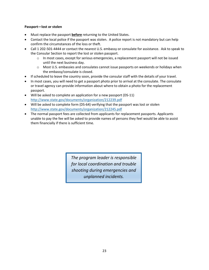#### **Passport—lost or stolen**

- Must replace the passport **before** returning to the United States.
- Contact the local police if the passport was stolen. A police report is not mandatory but can help confirm the circumstances of the loss or theft.
- Call 1 202-501-4444 or contact the nearest U.S. embassy or consulate for assistance. Ask to speak to the Consular Section to report the lost or stolen passport.
	- $\circ$  In most cases, except for serious emergencies, a replacement passport will not be issued until the next business day.
	- $\circ$  Most U.S. embassies and consulates cannot issue passports on weekends or holidays when the embassy/consulate is closed.
- If scheduled to leave the country soon, provide the consular staff with the details of your travel.
- In most cases, you will need to get a passport photo prior to arrival at the consulate. The consulate or travel agency can provide information about where to obtain a photo for the replacement passport.
- Will be asked to complete an application for a new passport (DS-11) <http://www.state.gov/documents/organization/212239.pdf>
- Will be asked to complete form (DS-64) verifying that the passport was lost or stolen <http://www.state.gov/documents/organization/212245.pdf>
- The normal passport fees are collected from applicants for replacement passports. Applicants unable to pay the fee will be asked to provide names of persons they feel would be able to assist them financially if there is sufficient time.

*The program leader is responsible for local coordination and trouble shooting during emergencies and unplanned incidents.*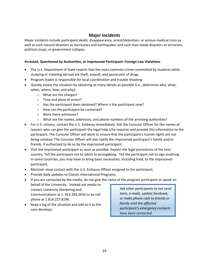## **Major Incidents**

Major incidents include participant death, disappearance, arrest/detention, or serious medical crisis as well as such natural disasters as hurricanes and earthquakes and such man-made disasters as terrorism, political coups, or government collapse.

#### **Arrested, Questioned by Authorities, or Imprisoned Participant--Foreign Law Violations**

- The U.S. Department of State reports that the most common crimes committed by students while studying or traveling abroad are theft, assault, and possession of drugs.
- Program leader is responsible for local coordination and trouble shooting
- Quickly assess the situation by obtaining as many details as possible (i.e., determine who, what, when, where, how, and why).
	- o What are the charges?
	- o Time and place of arrest?
	- o Has the participant been detained? Where is the participant now?
	- o How can the participant be contacted?
	- o Were there witnesses?
	- $\circ$  What are the names, addresses, and phone numbers of the arresting authorities?
- For U.S. citizens, contact the U.S. Embassy immediately. Ask the Consular Officer for the names of lawyers who can give the participant the legal help s/he requires and provide this information to the participant. The Consular Officer will work to ensure that the participant's human rights are not being violated. The Consular Officer will also notify the imprisoned participant's family and/or friends, if authorized to do so by the imprisoned participant.
- Visit the imprisoned participant as soon as possible. Explain the legal procedures of the host country. Tell the participant not to admit to wrongdoing. Tell the participant not to sign anything. In some countries, you may have to bring basic necessities, including food, to the imprisoned participant.
- Maintain close contact with the U.S. Embassy Officer assigned to the participant.
- Provide daily updates to Clarion International Programs.
- If you are contacted by the media, do not give the name of the program participant or speak on behalf of the University. Instead ask media to contact University Marketing and *Ask other participants to not send*

Communications at 1. 814.393.2659 or by cell phone at 1.814.227.8196.

 Keep a log of the situation and add to it as the case develops.

*texts, e-mails, update facebook, or make phone calls to friends or family until the affected participant's emergency contacts have been contacted.*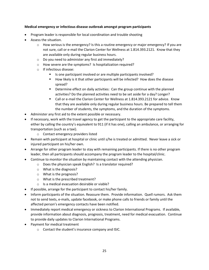#### **Medical emergency or infectious disease outbreak amongst program participants**

- Program leader is responsible for local coordination and trouble shooting
- Assess the situation.
	- $\circ$  How serious is the emergency? Is this a routine emergency or major emergency? If you are not sure, call or e-mail the Clarion Center for Wellness at 1.814.393.2121. Know that they are available only during regular business hours.
	- o Do you need to administer any first aid immediately?
	- o How severe are the symptoms? Is hospitalization required?
	- o If infectious disease:
		- Is one participant involved or are multiple participants involved?
		- How likely is it that other participants will be infected? How does the disease spread?
		- **•** Determine effect on daily activities: Can the group continue with the planned activities? Do the planned activities need to be set aside for a day? Longer?
		- Call or e-mail the Clarion Center for Wellness at 1.814.393.2121 for advice. Know that they are available only during regular business hours. Be prepared to tell them the number of students, the symptoms, and the duration of the symptoms.
- Administer any first aid to the extent possible or necessary.
- If necessary, work with the travel agency to get the participant to the appropriate care facility, either by calling the country's equivalent to 911 (if it has one), calling an ambulance, or arranging for transportation (such as a taxi).
	- o Contact emergency providers listed
- Remain with participant at hospital or clinic until s/he is treated or admitted. Never leave a sick or injured participant on his/her own.
- Arrange for other program leader to stay with remaining participants. If there is no other program leader, then all participants should accompany the program leader to the hospital/clinic.
- Continue to monitor the situation by maintaining contact with the attending physician.
	- o Does the physician speak English? Is a translator required?
	- o What is the diagnosis?
	- o What is the prognosis?
	- o What is the prescribed treatment?
	- o Is a medical evacuation desirable or viable?
- If possible, arrange for the participant to contact his/her family.
- Inform participants of the situation. Reassure them. Provide information. Quell rumors. Ask them not to send texts, e-mails, update facebook, or make phone calls to friends or family until the affected person's emergency contacts have been notified.
- Immediately report medical emergency or sickness to Clarion International Programs. If available, provide information about diagnosis, prognosis, treatment, need for medical evacuation. Continue to provide daily updates to Clarion International Programs.
- Payment for medical treatment
	- o Contact the student's insurance company and ISIC.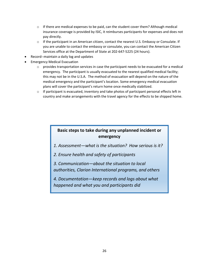- $\circ$  If there are medical expenses to be paid, can the student cover them? Although medical insurance coverage is provided by ISIC, it reimburses participants for expenses and does not pay directly.
- $\circ$  If the participant in an American citizen, contact the nearest U.S. Embassy or Consulate. If you are unable to contact the embassy or consulate, you can contact the American Citizen Services office at the Department of State at 202-647-5225 (24 hours).
- Record--maintain a daily log and updates
- Emergency Medical Evacuation
	- $\circ$  provides transportation services in case the participant needs to be evacuated for a medical emergency. The participant is usually evacuated to the nearest qualified medical facility; this may not be in the U.S.A. The method of evacuation will depend on the nature of the medical emergency and the participant's location. Some emergency medical evacuation plans will cover the participant's return home once medically stabilized.
	- o If participant is evacuated, inventory and take photos of participant personal effects left in country and make arrangements with the travel agency for the effects to be shipped home.

# **Basic steps to take during any unplanned incident or emergency**

- *1. Assessment—what is the situation? How serious is it?*
- *2. Ensure health and safety of participants*
- *3. Communication—about the situation to local authorities, Clarion International programs, and others*
- *4. Documentation—keep records and logs about what happened and what you and participants did*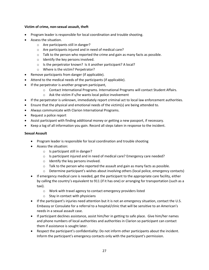#### **Victim of crime, non-sexual assault, theft**

- Program leader is responsible for local coordination and trouble shooting.
- Assess the situation.
	- o Are participants still in danger?
	- o Are participants injured and in need of medical care?
	- $\circ$  Talk to the person who reported the crime and gain as many facts as possible.
	- o Identify the key persons involved.
	- o Is the perpetrator known? Is it another participant? A local?
	- o Where is the victim? Perpetrator?
- Remove participants from danger (if applicable).
- Attend to the medical needs of the participants (if applicable).
- If the perpetrator is another program participant,
	- o Contact International Programs. International Programs will contact Student Affairs.
	- o Ask the victim if s/he wants local police involvement
- If the perpetrator is unknown, immediately report criminal act to local law enforcement authorities.
- Ensure that the physical and emotional needs of the victim(s) are being attended to.
- Always communicate with Clarion International Programs.
- Request a police report
- Assist participant with finding additional money or getting a new passport, if necessary.
- Keep a log of all information you gain. Record all steps taken in response to the incident.

#### **Sexual Assault**

- Program leader is responsible for local coordination and trouble shooting
- Assess the situation:
	- o Is participant still in danger?
	- $\circ$  Is participant injured and in need of medical care? Emergency care needed?
	- o Identify the key persons involved.
	- o Talk to the person who reported the assault and gain as many facts as possible.
	- $\circ$  Determine participant's wishes about involving others (local police, emergency contacts)
- If emergency medical care is needed, get the participant to the appropriate care facility, either by calling the country's equivalent to 911 (if it has one) or arranging for transportation (such as a taxi).
	- o Work with travel agency to contact emergency providers listed
	- $\circ$  Stay in contact with physicians
- If the participant's injuries need attention but it is not an emergency situation, contact the U.S. Embassy or Consulate for a referral to a hospital/clinic that will be sensitive to an American's needs in a sexual assault case.
- If participant declines assistance, assist him/her in getting to safe place. Give him/her names and phone numbers of local authorities and authorities in Clarion so participant can contact them if assistance is sought later.
- Respect the participant's confidentiality: Do not inform other participants about the incident. Inform the participant's emergency contacts only with the participant's permission.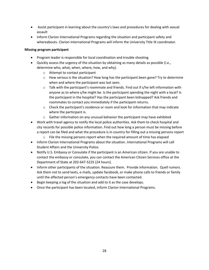- Assist participant in learning about the country's laws and procedures for dealing with sexual assault
- Inform Clarion International Programs regarding the situation and participant safety and whereabouts. Clarion International Programs will inform the University Title IX coordinator.

#### **Missing program participant**

- Program leader is responsible for local coordination and trouble shooting
- Quickly assess the urgency of the situation by obtaining as many details as possible (i.e., determine who, what, when, where, how, and why).
	- o Attempt to contact participant
	- $\circ$  How serious is the situation? How long has the participant been gone? Try to determine when and where the participant was last seen.
	- $\circ$  Talk with the participant's roommate and friends. Find out if s/he left information with anyone as to where s/he might be. Is the participant spending the night with a local? Is the participant in the hospital? Has the participant been kidnapped? Ask friends and roommates to contact you immediately if the participant returns.
	- $\circ$  Check the participant's residence or room and look for information that may indicate where the participant is.
	- $\circ$  Gather information on any unusual behavior the participant may have exhibited
- Work with travel agency to notify the local police authorities. Ask them to check hospital and city records for possible police information. Find out how long a person must be missing before a report can be filed and what the procedure is in country for filling out a missing persons report
	- $\circ$  File the missing persons report when the required amount of time has elapsed
- Inform Clarion International Programs about the situation. International Programs will call Student Affairs and the University Police.
- Notify U.S. Embassy or Consulate if the participant is an American citizen. If you are unable to contact the embassy or consulate, you can contact the American Citizen Services office at the Department of State at 202-647-5225 (24 hours).
- Inform other participants of the situation. Reassure them. Provide information. Quell rumors. Ask them not to send texts, e-mails, update facebook, or make phone calls to friends or family until the affected person's emergency contacts have been contacted.
- Begin keeping a log of the situation and add to it as the case develops.
- Once the participant has been located, inform Clarion International Programs.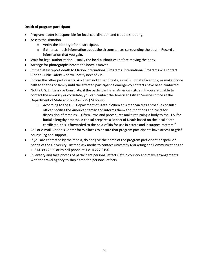#### **Death of program participant**

- Program leader is responsible for local coordination and trouble shooting.
- Assess the situation
	- o Verify the identity of the participant.
	- o Gather as much information about the circumstances surrounding the death. Record all information that you gain.
- Wait for legal authorization (usually the local authorities) before moving the body.
- Arrange for photographs before the body is moved.
- Immediately report death to Clarion International Programs. International Programs will contact Clarion Public Safety who will notify next of kin.
- Inform the other participants. Ask them not to send texts, e-mails, update facebook, or make phone calls to friends or family until the affected participant's emergency contacts have been contacted.
- Notify U.S. Embassy or Consulate, if the participant is an American citizen. If you are unable to contact the embassy or consulate, you can contact the American Citizen Services office at the Department of State at 202-647-5225 (24 hours).
	- o According to the U.S. Department of State: "When an American dies abroad, a consular officer notifies the American family and informs them about options and costs for disposition of remains…. Often, laws and procedures make returning a body to the U.S. for burial a lengthy process. A consul prepares a Report of Death based on the local death certificate; this is forwarded to the next of kin for use in estate and insurance matters."
- Call or e-mail Clarion's Center for Wellness to ensure that program participants have access to grief counseling and support.
- If you are contacted by the media, do not give the name of the program participant or speak on behalf of the University. Instead ask media to contact University Marketing and Communications at 1. 814.393.2659 or by cell phone at 1.814.227.8196
- Inventory and take photos of participant personal effects left in country and make arrangements with the travel agency to ship home the personal effects.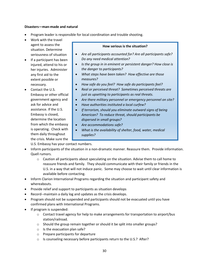#### **Disasters—man-made and natural**

- Program leader is responsible for local coordination and trouble shooting.
- Work with the travel agent to assess the situation. Determine seriousness of situation
- If a participant has been injured, attend to his or her injuries. Administer any first aid to the extent possible or necessary.
- Contact the U.S. Embassy or other official government agency and ask for advice and assistance. If the U.S. Embassy is closed, determine the location from which the embassy is operating. Check with them daily throughout the crisis. Make sure the

#### **How serious is the situation?**

- *Are all participants accounted for? Are all participants safe? Do any need medical attention?*
- *Is the group in in eminent or persistent danger? How close is the danger to participants?*
- *What steps have been taken? How effective are those measures?*
- *How safe do you feel? How safe do participants feel?*
- *Real or perceived threat? Sometimes perceived threats are just as upsetting to participants as real threats.*
- *Are there military personnel or emergency personnel on site?*
- *Have authorities instituted a local curfew?*
- *If terrorism, should you eliminate outward signs of being American? To reduce threat, should participants be dispersed in small groups?*
- *Are accommodations safe?*
- *What is the availability of shelter, food, water, medical supplies?*

U.S. Embassy has your contact numbers. *How able are staff and participants to travel in country?*

- Inform participants of the situation in a non-dramatic manner. Reassure them. Provide information. Quell rumors.
	- $\circ$  Caution all participants about speculating on the situation. Advise them to call home to reassure friends and family. They should communicate with their family or friends in the U.S. in a way that will not induce panic. Some may choose to wait until clear information is available before contacting.
- Inform Clarion International Programs regarding the situation and participant safety and whereabouts.
- Provide relief and support to participants as situation develops
- Record--maintain a daily log and updates as the crisis develops.
- Program should not be suspended and participants should not be evacuated until you have confirmed plans with International Programs.
- If program is suspended:
	- $\circ$  Contact travel agency for help to make arrangements for transportation to airport/bus station/railroad.
	- o Should the group remain together or should it be split into smaller groups?
	- $\circ$  Is the evacuation plan safe?
	- o Prepare participants for departure
	- o Is counseling necessary before participants return to the U.S.? After?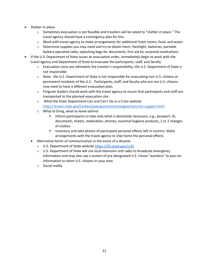- Shelter-in-place
	- $\circ$  Sometimes evacuation is not feasible and travelers will be asked to "shelter-in place." The travel agency should have a contingency plan for this.
	- $\circ$  Work with travel agency to make arrangements for additional hotel rooms, food, and water.
	- o Determine supplies you may need and try to obtain them: flashlight, batteries, portable battery operated radio, ziplocking bags for documents, first aid kit, essential medications.
- If the U.S. Department of State issues an evacuation order, immediately begin to work with the travel agency and Department of State to evacuate the participants, staff, and faculty.
	- $\circ$  Evacuation costs are ultimately the traveler's responsibility; the U.S. Department of State is not responsible
	- o Note: the U.S. Department of State is not responsible for evacuating non-U.S. citizens or permanent residents of the U.S. Participants, staff, and faculty who are not U.S. citizens may need to have a different evacuation plan.
	- $\circ$  Program leaders should work with the travel agency to insure that participants and staff are transported to the planned evacuation site.
	- o What the State Department Can and Can't Do in a Crisis website <https://travel.state.gov/content/passports/en/emergencies/crisis-support.html>
	- o What to bring, what to leave behind
		- **Inform participants to take only what is absolutely necessary, e.g., passport, ID,** documents, tickets, medication, phones, essential hygiene products, 1 or 2 changes of clothes.
		- **Inventory and take photos of participant personal effects left in country. Make** arrangements with the travel agency to ship home the personal effects.
	- Alternative forms of communication in the event of a disaster
		- o U.S. Department of State website<https://tfa.state.gov/ccd/>
		- $\circ$  U.S. Department of State will use local television and radio to broadcast emergency information and may also use a system of pre-designated U.S. citizen "wardens" to pass on information to other U.S. citizens in your area.
		- o Social media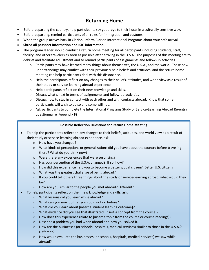# **Returning Home**

- Before departing the country, help participants say good-bye to their hosts in a culturally sensitive way.
- Before departing, remind participants of all rules for immigration and customs.
- When the group arrives back in Clarion, inform Clarion International Programs about your safe arrival.
- **Shred all passport information and ISIC information.**
- The program leader should conduct a return home meeting for all participants including students, staff, faculty, and other travelers as soon as possible after arriving in the U.S.A. The purposes of this meeting are to debrief and facilitate adjustment and to remind participants of assignments and follow-up activities.
	- o Participants may have learned many things about themselves, the U.S.A., and the world. These new understandings may conflict with their previously held beliefs and attitudes, and the return home meeting can help participants deal with this dissonance.
	- $\circ$  Help the participants reflect on any changes to their beliefs, attitudes, and world view as a result of their study or service-learning abroad experience.
	- o Help participants reflect on their new knowledge and skills.
	- o Discuss what's next in terms of assignments and follow-up activities
	- $\circ$  Discuss how to stay in contact with each other and with contacts abroad. Know that some participants will wish to do so and some will not.
	- $\circ$  Ask participants to complete the International Programs Study or Service-Learning Abroad Re-entry questionnaire (Appendix F)

## **Possible Reflection Questions for Return Home Meeting**

- To help the participants reflect on any changes to their beliefs, attitudes, and world view as a result of their study or service-learning abroad experience, ask:
	- o How have you changed?
	- $\circ$  What kinds of perceptions or generalizations did you have about the country before traveling there? What do you think now?
	- o Were there any experiences that were surprising?
	- o Has your perception of the U.S.A. changed? If so, how?
	- o How did this experience help you to become a better global citizen? Better U.S. citizen?
	- o What was the greatest challenge of being abroad?
	- $\circ$  If you could tell others three things about the study or service-learning abroad, what would they be?
	- o How are you similar to the people you met abroad? Different?
- To help participants reflect on their new knowledge and skills, ask:
	- o What lessons did you learn while abroad?
	- o What can you now do that you could not do before?
	- o What did you learn about [insert a student learning outcome]?
	- o What evidence did you see that illustrated [insert a concept from the course]?
	- o How does this experience relate to [insert a topic from the course or course readings]?
	- o Describe a problem you had when abroad and how you solved it.
	- o How are the businesses (or schools, hospitals, medical services) similar to those in the U.S.A.? Different?
	- $\circ$  How would evaluate the businesses (or schools, hospitals, medical services) we saw while abroad?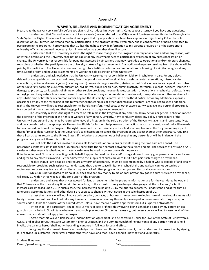#### **Appendix A**

#### **WAIVER, RELEASE AND INDEMNIFICATION AGREEMENT**

Please read the waiver very carefully before you sign it, since it does limit your rights. Contact your attorney if you have any questions. I understand that Clarion University of Pennsylvania (herein referred to as CU) is one of fourteen universities in the Pennsylvania State System of Higher Education. I understand and agree that my application is subject to acceptance or rejection by CU, at the sole discretion of CU. I further understand that my participation in the program is totally voluntary and in consideration of being permitted to participate in the program, I hereby agree that CU has the right to provide information to my parents or guardian or the appropriate university officials as deemed necessary. Such information may be other than directory.

I understand that the University reserves the right to make changes to the Program itinerary at any time and for any reason, with or without notice, and the University shall not be liable for any loss whatsoever to participants by reason of any such cancellation or change. The University is not responsible for penalties assessed by air carriers that may result due to operational and/or itinerary changes, regardless of whether the participant or the University makes a flight arrangement. Any additional expense resulting from the above will be paid by the participant. The University reserves the right to substitute hotels or accommodations or housing of a similar category at any time. Specific room and housing assignments are within the sole discretion of the University.

I understand and acknowledge that the University assumes no responsibility or liability, in whole or in part, for any delays, delayed or changed departure or arrival times, fare changes, dishonors of hotel, airline or vehicle rental reservations, missed carrier connections, sickness, disease, injuries (including death), losses, damages, weather, strikes, acts of God, circumstances beyond the control of the University, force majeure, war, quarantine, civil unrest, public health risks, criminal activity, terrorism, expense, accident, injuries or damage to property, bankruptcies of airline or other service providers, inconveniences, cessation of operations, mechanical defects, failure or negligence of any nature howsoever caused in connection with any accommodations, restaurant, transportation, or other service or for any substitution of hotels or of common carrier beyond the University's control, with or without notice, or for any additional expenses occasioned by any of the foregoing. If due to weather, flight schedules or other uncontrollable factors I am required to spend additional nights, the University will not be responsible for my hotels, transfers, meal costs or other expenses. My baggage and personal property is transported at my risk entirely and that baggage insurance is strongly recommended.

The University reserves the right to accept or retain me in the Program at any time should my actions or general behavior impede the operation of the Program or the rights or welfare of any person. Similarly, if my conduct violates any policy or procedure of the University, I understand that I may be required to leave the Program in the sole discretion of the University's agents and representatives, and may be referred to the appropriate University officials for further disciplinary or other action. In such an event, no refund will be made for any unused portion of the Program. The right is reserved by the University in its sole discretion, to cancel the Program or any aspect thereof prior to departure; and, in the University's sole discretion, to cancel the Program or any aspect thereof after departure, requiring that all participants return to the United States, if the University determines or believes that any person is or will be in danger if the program or any aspect thereof is continued.

I will not hold the airlines involved responsible for any acts or omissions or events during the time I am not aboard. The passenger's contact ticket in use when issued shall constitute the sole contact between the airlines and me. The services of any IATA or ATC carrier or other regularly scheduled or charter carrier may be used in connection with the program.

If, in the opinion of CU or anyone acting on its behalf, I appear to need medical and/or surgical care, I hereby give permission for such care and agree to pay all costs involved -- either directly to the suppliers of such care or to CU if it has paid such charges on my behalf.

I realize that, if I am disabled and require any form of assistance, I must be accompanied by a helper who is capable of and totally responsible for providing such assistance. I understand that, due to space limitations, wheelchairs and walkers cannot be carried on motorcoaches or subway trains and that there may be a lack of other programmatic and/or architectural accommodations.

While CU is not obligated to do so, if CU does advance any money to me or does pay for any goods and/or services on my behalf, I will repay CU within three weeks of the conclusion of the program.

I understand and agree that prices quoted for land arrangements in the program information are for the year dated below, and that CU may raise the price at any time prior to departure, to the extent currency exchange rates go against the dollar and/or tariff increases are imposed upon CU. In such a case, the increase will be paid to CU by me prior to departure. I understand and agree that all itineraries, accommodations, and other details are subject to change without notice at the sole discretion of CU.

I attest that my travel will not involve collaboration, contacts, or business transactions, excluding normal travel requirements with foreign persons or entities. I will not take any item or software incorporating University-developed, non-commercial strong encryption source code outside the borders of the United States unless I have received written approval from CU's Export Control officer.

I attest that I, the participant, am at least 18 years of age; or if not, this waiver is being signed and dated by my parent or legal guardian on my behalf. CU will take whatever reasonable precautions CU deems necessary, but unless you are willing to assume all of the above risks, you should not apply for the program.

I agree that this Waiver, Release and Indemnification Agreement is to be construed under the laws of the State of Pennsylvania, U.S.A.; and applies to CU, the State System for Higher Education, and the Commonwealth of Pennsylvania. If any portion hereof is held invalid, the balance hereof shall, notwithstanding, continue in full legal force and effect.

In signing this document I hereby acknowledge that I have read this entire document, that I understand its terms, that by signing it I am giving up substantial legal rights I might otherwise have, and that I have signed it knowingly and voluntarily.

| Student Signature         | Date |
|---------------------------|------|
| Parent/guardian signature | Date |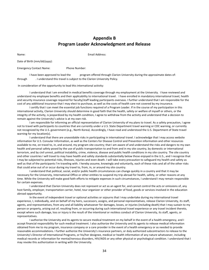# **Appendix B Program Leader Acknowledgment and Release**

Name: Email Address:

Date of Birth (mm/dd/yyyy):

Emergency Contact Name: Phone Number:

I have been approved to lead the program offered through Clarion University during the approximate dates of: through . I understand this travel is subject to the Clarion University Policy*.*

In consideration of the opportunity to lead this international activity:

I understand that I am enrolled in medical benefits coverage through my employment at the University. I have reviewed and understand my employee benefits and their applicability to international travel. I have enrolled in mandatory international travel, health and security insurance coverage required for faculty/staff leading participants overseas. I further understand that I am responsible for the cost of any additional insurance that I may elect to purchase, as well as the costs of health care not covered by my insurance.

I certify that I can meet the essential job functions required of a Program Leader. If in the course of my participation in this international activity, Clarion University should determine in good faith that the health, safety or welfare of myself or others, or the integrity of the activity, is jeopardized by my health condition, I agree to withdraw from the activity and understand that a decision to remain against the University's advice is at my own risk.

I am responsible for informing an official representative of Clarion University of my plans to travel. As a safety precaution, I agree not to travel with participants to countries that are currently under a U.S. State Department travel warning or CDC warning, or currently not recognized by the U.S. government (e.g., North Korea). Accordingly, I have read and understood the U.S. Department of State travel warning for my location(s).

I understand that there are unavoidable risks in participating in international travel. I acknowledge that I may access website information for U.S. Consular Information, as well as the Centers for Disease Control and Prevention information and other resources available to me, on travel to, in, and around, my program site country; that I am aware of and understand the risks and dangers to my own health and personal safety posed by the use of public transportation to and from and in my site country, by domestic or international terrorism, and by civil unrest, political instability, crime, violence, disease and public health conditions in my site country. The site country and other countries I will travel to may have health and safety standards substantially below those enjoyed in the U.S., and I recognize that I may be subjected to potential risks, illnesses, injuries and even death. I will take every precaution to safeguard my health and safety as well as that of the participants I'm traveling with. I hereby assume, knowingly and voluntarily, each of these risks and all of the other risks that could arise out of or occur during my travel to, from, in, or around my site country.

I understand that political, social, and/or public health circumstances can change quickly in a country and that it may be necessary for the University, International Office or other entities to suspend my trip abroad for health, safety, or other reasons at any time. While the University will make good faith efforts to mitigate expenses in such circumstances, I understand I may remain responsible for certain expenses.

I understand that Clarion University does not represent or act as an agent for, and cannot control the acts or omissions of, any host family, employer, transportation carrier, hotel, tour organizer or other provider of food, goods or services involved in the education abroad opportunity.

In the event of independent travel or optional activities or sojourns that I may undertake during my international travel experience, I, individually, and on behalf of my heirs, successors, assigns, and personal representatives, release Clarion University, its staff, agents, and representatives, from any and all liability whatsoever for damages, losses, or injuries (including death) that I may sustain to my person or property, arising out of, resulting from, or occurring during such international travel experience or any travel incident thereto, except where such damage, loss or injury is the result of the intentional or reckless conduct of Clarion University, its staff, agents, or representatives.

I authorize the University and its agents to secure medical treatment on my behalf in the event of a health emergency, and I accept financial responsibility for such medical treatment. I also authorize the University and its agents to release medical information obtained from me to my program, insurance company or a care provider in the event of a health emergency or as needed to provide reasonable accommodations. I further authorize the University's insurance partners, or duly authorized subcontractors to release to the University's Director of International Programs, or his/her designee, medical or health information of any nature whatsoever, including medical records or information for mental/nervous disorders, HIV/AIDS or any other physical or psychological condition. I understand that I may revoke this authorization in writing with the University.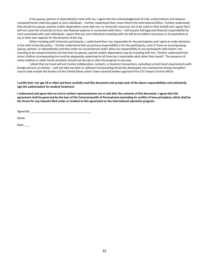If my spouse, partner or dependent(s) travel with me, I agree that the acknowledgement of risks, authorizations and releases contained herein shall also apply to such individuals. I further understand that I must inform the International Office. I further understand that should my spouse, partner and/or dependents come with me, no University resources are to be used on their behalf and I agree that I will not cause the University to incur any financial expense in connection with them. I will assume full legal and financial responsibility for costs associated with such individuals. I agree that any such individuals traveling with me will be enrolled in insurance or its equivalent at my or their own expense for the duration of the trip.

When traveling with University participants, I understand that I am responsible for the participants and I agree to make decisions in line with University policy. I further understand that my primary responsibility is for the participants, even if I have an accompanying spouse, partner, or dependent(s) and that under no circumstances shall I allow my responsibility to any participants with whom I am traveling to be compromised by the fact that my spouse, partner and/or dependents may be traveling with me. I further understand that minor children accompanying me must be adequately supervised at all times by a reasonable adult other than myself. The presence of minor children or other family members should not disrupt or alter the program in any way.

I attest that my travel will not involve collaboration, contacts, or business transactions, excluding normal travel requirements with foreign persons or entities. I will not take any item or software incorporating University-developed, non-commercial strong encryption source code outside the borders of the United States unless I have received written approval from CU's Export Control officer.

#### **I certify that I am age 18 or older and have carefully read this document and accept each of the above responsibilities and voluntarily sign the authorization for medical treatment.**

**I understand and agree that no oral or written representations can or will alter the contents of this document. I agree that this agreement shall be governed by the laws of the Commonwealth of Pennsylvania (excluding its conflict of laws principles), which shall be the forum for any lawsuits filed under or incident to this agreement or the international education program.**

Signed By:

Name:

Date: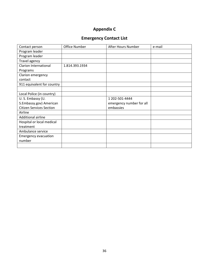# **Appendix C**

# **Emergency Contact List**

| Contact person                  | <b>Office Number</b> | After Hours Number       | e-mail |
|---------------------------------|----------------------|--------------------------|--------|
| Program leader                  |                      |                          |        |
| Program leader                  |                      |                          |        |
| Travel agency                   |                      |                          |        |
| <b>Clarion International</b>    | 1.814.393.1934       |                          |        |
| Programs                        |                      |                          |        |
| Clarion emergency               |                      |                          |        |
| contact                         |                      |                          |        |
| 911 equivalent for country      |                      |                          |        |
|                                 |                      |                          |        |
| Local Police (in country)       |                      |                          |        |
| U.S. Embassy (U.                |                      | 1 202-501-4444           |        |
| S.Embassy.gov) American         |                      | emergency number for all |        |
| <b>Citizen Services Section</b> |                      | embassies                |        |
| Airline                         |                      |                          |        |
| Additional airline              |                      |                          |        |
| Hospital or local medical       |                      |                          |        |
| treatment                       |                      |                          |        |
| Ambulance service               |                      |                          |        |
| <b>Emergency evacuation</b>     |                      |                          |        |
| number                          |                      |                          |        |
|                                 |                      |                          |        |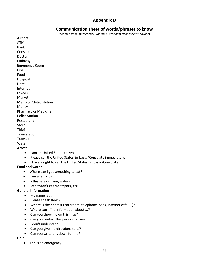# **Appendix D**

# **Communication sheet of words/phrases to know**

(adapted from *International Programs Participant Handbook Worldwide*)

Airport ATM Bank Consulate Doctor Embassy Emergency Room Fire Food Hospital Hotel Internet Lawyer Market Metro or Metro station Money Pharmacy or Medicine Police Station Restaurant Store Thief Train station Translator Water

## **Arrest**

- I am an United States citizen.
- Please call the United States Embassy/Consulate immediately.
- I have a right to call the United States Embassy/Consulate

#### **Food and water**

- Where can I get something to eat?
- I am allergic to ...
- Is this safe drinking water?
- I can't/don't eat meat/pork, etc.

#### **General Information**

- My name is ...
- Please speak slowly.
- Where is the nearest (bathroom, telephone, bank, internet café, ...)?
- Where can I find information about ...?
- Can you show me on this map?
- Can you contact this person for me?
- I don't understand.
- Can you give me directions to ...?
- Can you write this down for me?

#### **Help**

• This is an emergency.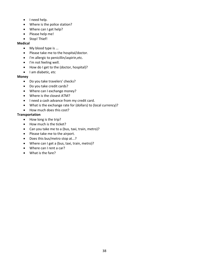- I need help.
- Where is the police station?
- Where can I get help?
- Please help me!
- Stop! Thief!

#### **Medical**

- My blood type is ...
- Please take me to the hospital/doctor.
- I'm allergic to penicillin/aspirin,etc.
- I'm not feeling well.
- How do I get to the (doctor, hospital)?
- I am diabetic, etc

#### **Money**

- Do you take travelers' checks?
- Do you take credit cards?
- Where can I exchange money?
- Where is the closest ATM?
- I need a cash advance from my credit card.
- What is the exchange rate for (dollars) to (local currency)?
- How much does this cost?

#### **Transportation**

- How long is the trip?
- How much is the ticket?
- Can you take me to a (bus, taxi, train, metro)?
- Please take me to the airport.
- Does this bus/metro stop at...?
- Where can I get a (bus, taxi, train, metro)?
- Where can I rent a car?
- What is the fare?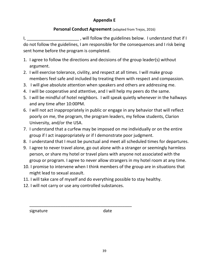# **Appendix E**

# **Personal Conduct Agreement** (adapted from Trejos, 2016)

I, \_\_\_\_\_\_\_\_\_\_\_\_\_\_\_\_\_\_\_\_\_\_\_\_\_, will follow the guidelines below. I understand that if I do not follow the guidelines, I am responsible for the consequences and I risk being sent home before the program is completed.

- 1. I agree to follow the directions and decisions of the group leader(s) without argument.
- 2. I will exercise tolerance, civility, and respect at all times. I will make group members feel safe and included by treating them with respect and compassion.
- 3. I will give absolute attention when speakers and others are addressing me.
- 4. I will be cooperative and attentive, and I will help my peers do the same.
- 5. I will be mindful of hotel neighbors. I will speak quietly whenever in the hallways and any time after 10:00PM.
- 6. I will not act inappropriately in public or engage in any behavior that will reflect poorly on me, the program, the program leaders, my fellow students, Clarion University, and/or the USA.
- 7. I understand that a curfew may be imposed on me individually or on the entire group if I act inappropriately or if I demonstrate poor judgment.
- 8. I understand that I must be punctual and meet all scheduled times for departures.
- 9. I agree to never travel alone, go out alone with a stranger or seemingly harmless person, or share my hotel or travel plans with anyone not associated with the group or program. I agree to never allow strangers in my hotel room at any time.
- 10. I promise to intervene when I think members of the group are in situations that might lead to sexual assault.
- 11. I will take care of myself and do everything possible to stay healthy.
- 12. I will not carry or use any controlled substances.

\_\_\_\_\_\_\_\_\_\_\_\_\_\_\_\_\_\_\_\_\_\_\_\_\_\_\_\_\_\_\_\_\_\_\_\_\_\_\_\_\_\_\_

signature date date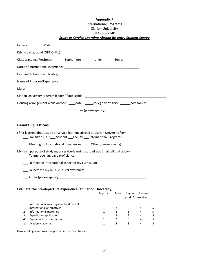#### **Appendix F** International Programs Clarion University 814-393-2340 *Study or Service-Learning Abroad Re-entry Student Survey*

| Female: _____________Male: ___________                                                                                                                        |                |   |                                                           |                         |
|---------------------------------------------------------------------------------------------------------------------------------------------------------------|----------------|---|-----------------------------------------------------------|-------------------------|
|                                                                                                                                                               |                |   |                                                           |                         |
|                                                                                                                                                               |                |   |                                                           |                         |
| Class standing: Freshman ___________Sophomore __________Junior __________Senior________                                                                       |                |   |                                                           |                         |
|                                                                                                                                                               |                |   |                                                           |                         |
|                                                                                                                                                               |                |   |                                                           |                         |
|                                                                                                                                                               |                |   |                                                           |                         |
|                                                                                                                                                               |                |   |                                                           |                         |
| Clarion University Program leader (if applicable): _____________________________                                                                              |                |   |                                                           |                         |
| Housing arrangement while abroad: ______hotel _______college dormitory ________host family                                                                    |                |   |                                                           |                         |
| _______other (please specify)_________________                                                                                                                |                |   |                                                           |                         |
|                                                                                                                                                               |                |   |                                                           |                         |
| <b>General Questions</b>                                                                                                                                      |                |   |                                                           |                         |
|                                                                                                                                                               |                |   |                                                           |                         |
| I first learned about study or service-learning abroad at Clarion University from:<br>___Transitions Fair ____ Student ___Faculty ____ International Programs |                |   |                                                           |                         |
| ___ Meeting on International Experiences ___ Other (please specify)____________________                                                                       |                |   |                                                           |                         |
| My main purpose of studying or service-learning abroad was (mark all that apply):<br>___ To improve language proficiency                                      |                |   |                                                           |                         |
| To meet an international aspect of my curriculum                                                                                                              |                |   |                                                           |                         |
| ___ To increase my multi-cultural awareness                                                                                                                   |                |   |                                                           |                         |
|                                                                                                                                                               |                |   |                                                           |                         |
|                                                                                                                                                               |                |   |                                                           |                         |
| Evaluate the pre-departure experience (at Clarion University)                                                                                                 |                |   |                                                           |                         |
| $1 = poor$                                                                                                                                                    |                |   | $2 = \text{fair}$ 3=good 4 = very<br>good $5 =$ excellent |                         |
| Informational meetings on the different<br>1.                                                                                                                 |                |   |                                                           |                         |
| international alternatives<br>$\mathbf{1}$                                                                                                                    | $\overline{2}$ | 3 | 4                                                         | 5                       |
| 2.<br>Informational materials<br>$\mathbf{1}$                                                                                                                 | $\overline{2}$ | 3 | 4                                                         | 5                       |
| 3.<br><b>Expeditious application</b><br>$\mathbf{1}$                                                                                                          | $\overline{2}$ | 3 | 4                                                         | 5                       |
| Pre-departure orientation<br>4.<br>$\mathbf{1}$                                                                                                               | $\overline{2}$ | 3 | 4                                                         | 5                       |
| 5.<br>Academic advising<br>1                                                                                                                                  | $\overline{2}$ | 3 | 4                                                         | $\overline{\mathbf{5}}$ |

How would you improve the pre-departure orientation?